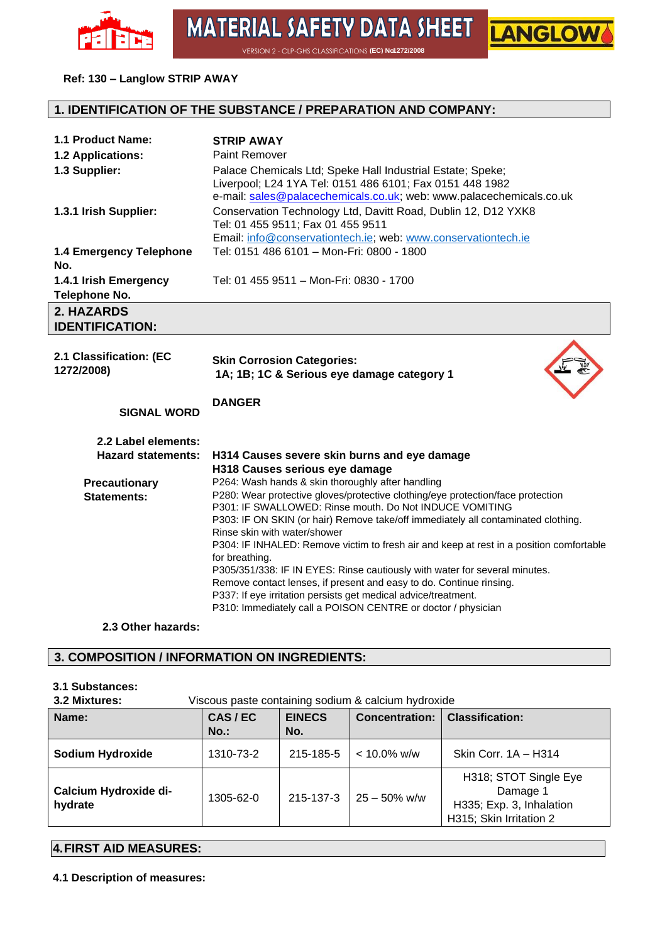

**MATERIAL SAFETY DATA SHEET** VERSION 2 - CLP-GHS CLASSIFICATIONS **(EC) No1272/2008** 

LANGLOV

#### **Ref: 130 – Langlow STRIP AWAY**

#### **1. IDENTIFICATION OF THE SUBSTANCE / PREPARATION AND COMPANY:**

| 1.1 Product Name:                                | <b>STRIP AWAY</b>                                                                                                                                                                                                                                                                                                                                                                                                                                                                                                                                                                                                                                        |
|--------------------------------------------------|----------------------------------------------------------------------------------------------------------------------------------------------------------------------------------------------------------------------------------------------------------------------------------------------------------------------------------------------------------------------------------------------------------------------------------------------------------------------------------------------------------------------------------------------------------------------------------------------------------------------------------------------------------|
| 1.2 Applications:                                | <b>Paint Remover</b>                                                                                                                                                                                                                                                                                                                                                                                                                                                                                                                                                                                                                                     |
| 1.3 Supplier:                                    | Palace Chemicals Ltd; Speke Hall Industrial Estate; Speke;<br>Liverpool; L24 1YA Tel: 0151 486 6101; Fax 0151 448 1982<br>e-mail: sales@palacechemicals.co.uk; web: www.palacechemicals.co.uk                                                                                                                                                                                                                                                                                                                                                                                                                                                            |
| 1.3.1 Irish Supplier:                            | Conservation Technology Ltd, Davitt Road, Dublin 12, D12 YXK8<br>Tel: 01 455 9511; Fax 01 455 9511<br>Email: info@conservationtech.ie; web: www.conservationtech.ie                                                                                                                                                                                                                                                                                                                                                                                                                                                                                      |
| 1.4 Emergency Telephone<br>No.                   | Tel: 0151 486 6101 - Mon-Fri: 0800 - 1800                                                                                                                                                                                                                                                                                                                                                                                                                                                                                                                                                                                                                |
| 1.4.1 Irish Emergency<br>Telephone No.           | Tel: 01 455 9511 - Mon-Fri: 0830 - 1700                                                                                                                                                                                                                                                                                                                                                                                                                                                                                                                                                                                                                  |
| 2. HAZARDS<br><b>IDENTIFICATION:</b>             |                                                                                                                                                                                                                                                                                                                                                                                                                                                                                                                                                                                                                                                          |
| 2.1 Classification: (EC<br>1272/2008)            | <b>Skin Corrosion Categories:</b><br>1A; 1B; 1C & Serious eye damage category 1                                                                                                                                                                                                                                                                                                                                                                                                                                                                                                                                                                          |
| <b>SIGNAL WORD</b>                               | <b>DANGER</b>                                                                                                                                                                                                                                                                                                                                                                                                                                                                                                                                                                                                                                            |
| 2.2 Label elements:<br><b>Hazard statements:</b> | H314 Causes severe skin burns and eye damage<br>H318 Causes serious eye damage                                                                                                                                                                                                                                                                                                                                                                                                                                                                                                                                                                           |
| <b>Precautionary</b><br>Statements:              | P264: Wash hands & skin thoroughly after handling<br>P280: Wear protective gloves/protective clothing/eye protection/face protection<br>P301: IF SWALLOWED: Rinse mouth. Do Not INDUCE VOMITING<br>P303: IF ON SKIN (or hair) Remove take/off immediately all contaminated clothing.<br>Rinse skin with water/shower<br>P304: IF INHALED: Remove victim to fresh air and keep at rest in a position comfortable<br>for breathing.<br>P305/351/338: IF IN EYES: Rinse cautiously with water for several minutes.<br>Remove contact lenses, if present and easy to do. Continue rinsing.<br>P337: If eye irritation persists get medical advice/treatment. |
|                                                  | P310: Immediately call a POISON CENTRE or doctor / physician                                                                                                                                                                                                                                                                                                                                                                                                                                                                                                                                                                                             |

#### **3. COMPOSITION / INFORMATION ON INGREDIENTS:**

### **3.1 Substances:**

| 3.2 Mixtures: | Viscous paste containing sodium & calcium hydroxide |  |
|---------------|-----------------------------------------------------|--|
|---------------|-----------------------------------------------------|--|

| J.L MIALUIUJ.                    | vibcous pasic containing sourant a calcium rivalentic. |                      |                       |                                                                                          |
|----------------------------------|--------------------------------------------------------|----------------------|-----------------------|------------------------------------------------------------------------------------------|
| Name:                            | CAS/EC<br>$No.$ :                                      | <b>EINECS</b><br>No. | <b>Concentration:</b> | <b>Classification:</b>                                                                   |
| <b>Sodium Hydroxide</b>          | 1310-73-2                                              | 215-185-5            | $< 10.0\%$ w/w        | Skin Corr. 1A - H314                                                                     |
| Calcium Hydroxide di-<br>hydrate | 1305-62-0                                              | 215-137-3            | $25 - 50\%$ w/w       | H318; STOT Single Eye<br>Damage 1<br>H335; Exp. 3, Inhalation<br>H315; Skin Irritation 2 |

#### **4.FIRST AID MEASURES:**

**4.1 Description of measures:**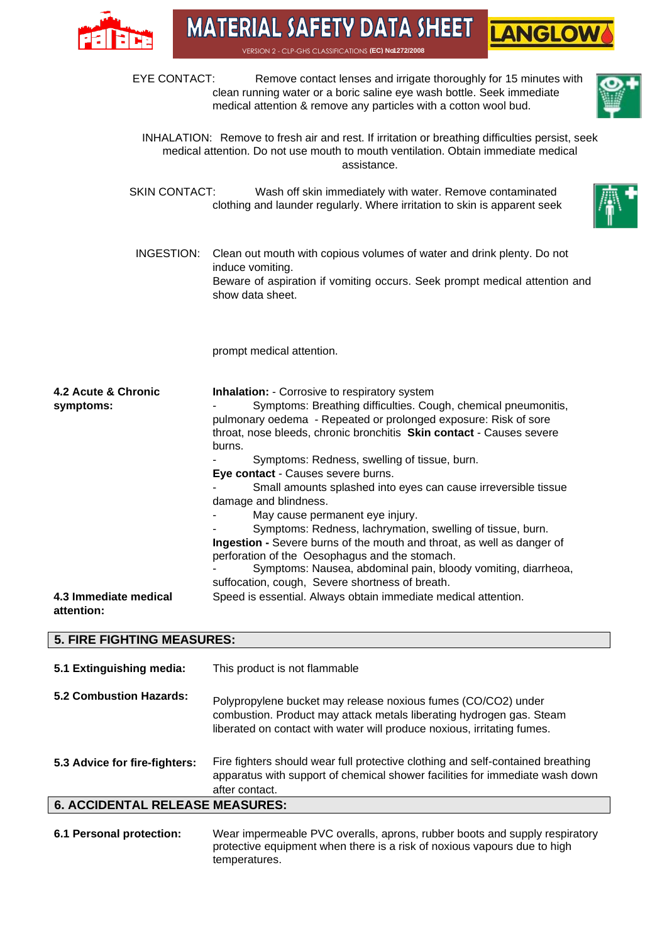

 $\overline{\phantom{a}}$ 

**MATERIAL SAFETY DATA SHEET** VERSION 2 - CLP-GHS CLASSIFICATIONS **(EC) No1272/2008** 

**LANGLOW** 

| <b>5. FIRE FIGHTING MEASURES:</b>   |                                                                                                                                                                                                                                                                                                                             |
|-------------------------------------|-----------------------------------------------------------------------------------------------------------------------------------------------------------------------------------------------------------------------------------------------------------------------------------------------------------------------------|
| 4.3 Immediate medical<br>attention: | perforation of the Oesophagus and the stomach.<br>Symptoms: Nausea, abdominal pain, bloody vomiting, diarrheoa,<br>suffocation, cough, Severe shortness of breath.<br>Speed is essential. Always obtain immediate medical attention.                                                                                        |
|                                     | Eye contact - Causes severe burns.<br>Small amounts splashed into eyes can cause irreversible tissue<br>damage and blindness.<br>May cause permanent eye injury.<br>Symptoms: Redness, lachrymation, swelling of tissue, burn.<br>Ingestion - Severe burns of the mouth and throat, as well as danger of                    |
| 4.2 Acute & Chronic<br>symptoms:    | <b>Inhalation:</b> - Corrosive to respiratory system<br>Symptoms: Breathing difficulties. Cough, chemical pneumonitis,<br>pulmonary oedema - Repeated or prolonged exposure: Risk of sore<br>throat, nose bleeds, chronic bronchitis Skin contact - Causes severe<br>burns.<br>Symptoms: Redness, swelling of tissue, burn. |
|                                     | prompt medical attention.                                                                                                                                                                                                                                                                                                   |
| INGESTION:                          | Clean out mouth with copious volumes of water and drink plenty. Do not<br>induce vomiting.<br>Beware of aspiration if vomiting occurs. Seek prompt medical attention and<br>show data sheet.                                                                                                                                |
| <b>SKIN CONTACT:</b>                | Wash off skin immediately with water. Remove contaminated<br>clothing and launder regularly. Where irritation to skin is apparent seek                                                                                                                                                                                      |
|                                     | INHALATION: Remove to fresh air and rest. If irritation or breathing difficulties persist, seek<br>medical attention. Do not use mouth to mouth ventilation. Obtain immediate medical<br>assistance.                                                                                                                        |
| EYE CONTACT:                        | Remove contact lenses and irrigate thoroughly for 15 minutes with<br>clean running water or a boric saline eye wash bottle. Seek immediate<br>medical attention & remove any particles with a cotton wool bud.                                                                                                              |

| 5.1 Extinguishing media:               | This product is not flammable                                                                                                                                                                                    |
|----------------------------------------|------------------------------------------------------------------------------------------------------------------------------------------------------------------------------------------------------------------|
| 5.2 Combustion Hazards:                | Polypropylene bucket may release noxious fumes (CO/CO2) under<br>combustion. Product may attack metals liberating hydrogen gas. Steam<br>liberated on contact with water will produce noxious, irritating fumes. |
| 5.3 Advice for fire-fighters:          | Fire fighters should wear full protective clothing and self-contained breathing<br>apparatus with support of chemical shower facilities for immediate wash down<br>after contact.                                |
| <b>6. ACCIDENTAL RELEASE MEASURES:</b> |                                                                                                                                                                                                                  |
|                                        |                                                                                                                                                                                                                  |

**6.1 Personal protection:** Wear impermeable PVC overalls, aprons, rubber boots and supply respiratory protective equipment when there is a risk of noxious vapours due to high temperatures.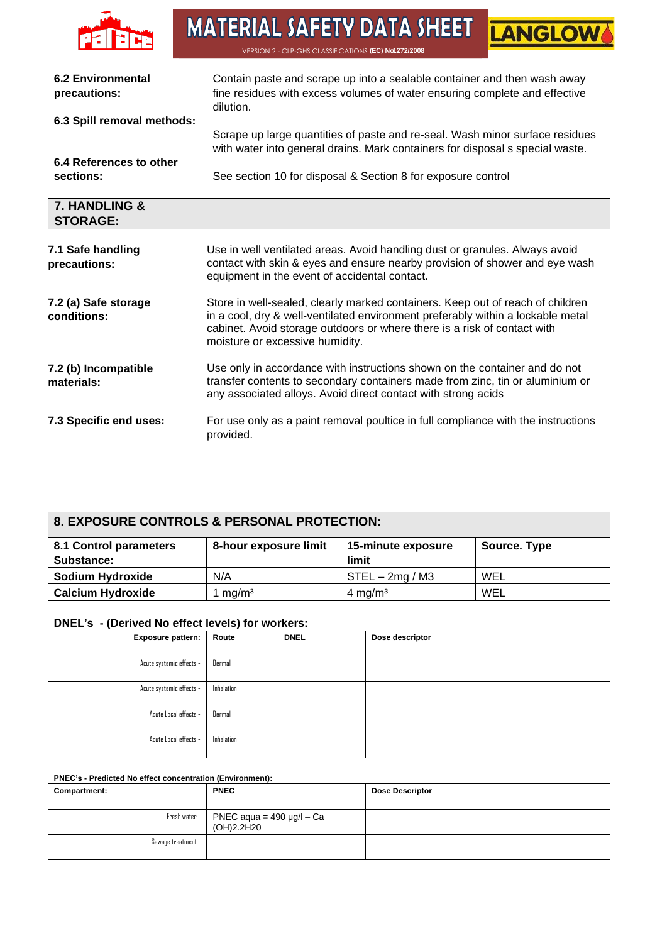

# **MATERIAL SAFETY DATA SHEET EANGLOWS**

| <b>6.2 Environmental</b><br>precautions: | Contain paste and scrape up into a sealable container and then wash away<br>fine residues with excess volumes of water ensuring complete and effective<br>dilution.                                                                                                              |
|------------------------------------------|----------------------------------------------------------------------------------------------------------------------------------------------------------------------------------------------------------------------------------------------------------------------------------|
| 6.3 Spill removal methods:               | Scrape up large quantities of paste and re-seal. Wash minor surface residues<br>with water into general drains. Mark containers for disposal s special waste.                                                                                                                    |
| 6.4 References to other<br>sections:     | See section 10 for disposal & Section 8 for exposure control                                                                                                                                                                                                                     |
| 7. HANDLING &<br><b>STORAGE:</b>         |                                                                                                                                                                                                                                                                                  |
| 7.1 Safe handling<br>precautions:        | Use in well ventilated areas. Avoid handling dust or granules. Always avoid<br>contact with skin & eyes and ensure nearby provision of shower and eye wash<br>equipment in the event of accidental contact.                                                                      |
| 7.2 (a) Safe storage<br>conditions:      | Store in well-sealed, clearly marked containers. Keep out of reach of children<br>in a cool, dry & well-ventilated environment preferably within a lockable metal<br>cabinet. Avoid storage outdoors or where there is a risk of contact with<br>moisture or excessive humidity. |
| 7.2 (b) Incompatible<br>materials:       | Use only in accordance with instructions shown on the container and do not<br>transfer contents to secondary containers made from zinc, tin or aluminium or<br>any associated alloys. Avoid direct contact with strong acids                                                     |
| 7.3 Specific end uses:                   | For use only as a paint removal poultice in full compliance with the instructions<br>provided.                                                                                                                                                                                   |

| 8. EXPOSURE CONTROLS & PERSONAL PROTECTION:               |                                              |             |       |                        |              |
|-----------------------------------------------------------|----------------------------------------------|-------------|-------|------------------------|--------------|
| 8.1 Control parameters<br>Substance:                      | 8-hour exposure limit                        |             | limit | 15-minute exposure     | Source. Type |
| Sodium Hydroxide                                          | N/A                                          |             |       | $STEL - 2mg / M3$      | <b>WEL</b>   |
| <b>Calcium Hydroxide</b>                                  | 1 mg/ $m3$                                   |             |       | 4 mg/m $3$             | WEL          |
| DNEL's - (Derived No effect levels) for workers:          |                                              |             |       |                        |              |
| Exposure pattern:                                         | Route                                        | <b>DNEL</b> |       | Dose descriptor        |              |
| Acute systemic effects -                                  | Dermal                                       |             |       |                        |              |
| Acute systemic effects -                                  | Inhalation                                   |             |       |                        |              |
| Acute Local effects -                                     | Dermal                                       |             |       |                        |              |
| Acute Local effects -                                     | Inhalation                                   |             |       |                        |              |
| PNEC's - Predicted No effect concentration (Environment): |                                              |             |       |                        |              |
| Compartment:                                              | <b>PNEC</b>                                  |             |       | <b>Dose Descriptor</b> |              |
| Fresh water -                                             | PNEC aqua = $490 \mu g/l - Ca$<br>(OH)2.2H20 |             |       |                        |              |
| Sewage treatment -                                        |                                              |             |       |                        |              |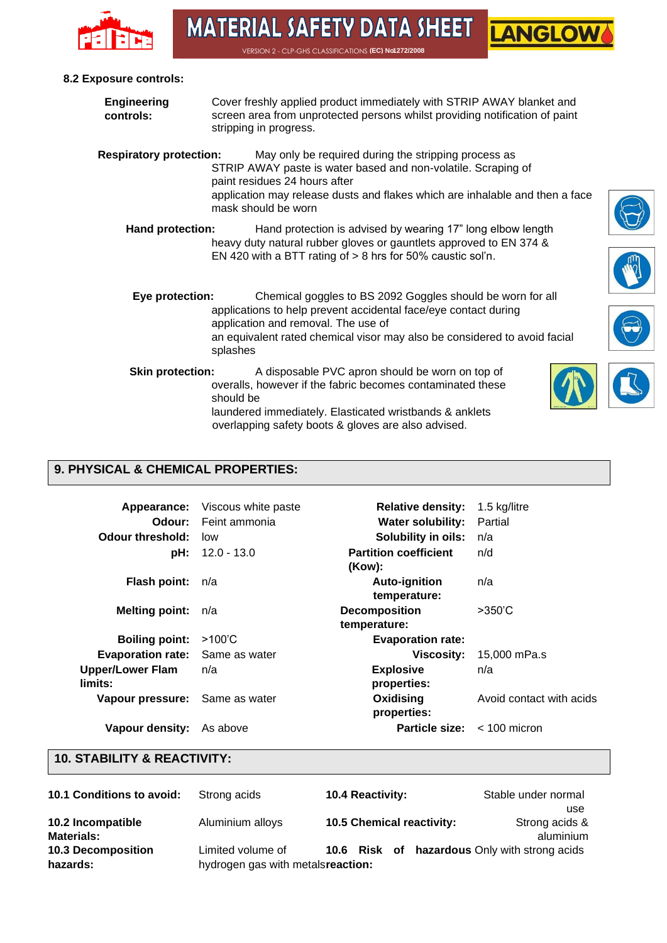

VERSION 2 - CLP-GHS CLASSIFICATIONS **(EC) No1272/2008** 

#### **8.2 Exposure controls:**

| <b>Engineering</b><br>controls: | Cover freshly applied product immediately with STRIP AWAY blanket and<br>screen area from unprotected persons whilst providing notification of paint<br>stripping in progress.                                                                                |  |
|---------------------------------|---------------------------------------------------------------------------------------------------------------------------------------------------------------------------------------------------------------------------------------------------------------|--|
| <b>Respiratory protection:</b>  | May only be required during the stripping process as<br>STRIP AWAY paste is water based and non-volatile. Scraping of<br>paint residues 24 hours after<br>application may release dusts and flakes which are inhalable and then a face<br>mask should be worn |  |
| <b>Hand protection:</b>         | Hand protection is advised by wearing 17" long elbow length<br>heavy duty natural rubber gloves or gauntlets approved to EN 374 &<br>EN 420 with a BTT rating of $> 8$ hrs for 50% caustic sol'n.                                                             |  |
| Eye protection:                 | Chemical goggles to BS 2092 Goggles should be worn for all<br>applications to help prevent accidental face/eye contact during<br>application and removal. The use of<br>an equivalent rated chemical visor may also be considered to avoid facial<br>splashes |  |
| <b>Skin protection:</b>         | A disposable PVC apron should be worn on top of<br>overalls, however if the fabric becomes contaminated these<br>should be<br>laundered immediately. Elasticated wristbands & anklets                                                                         |  |

#### **9. PHYSICAL & CHEMICAL PROPERTIES:**

| Odour:<br><b>Odour threshold:</b>      | <b>Appearance:</b> Viscous white paste<br>Feint ammonia<br>low | <b>Relative density:</b><br><b>Water solubility:</b><br>Solubility in oils: | 1.5 kg/litre<br>Partial<br>n/a |
|----------------------------------------|----------------------------------------------------------------|-----------------------------------------------------------------------------|--------------------------------|
| pH:                                    | 12.0 - 13.0                                                    | <b>Partition coefficient</b><br>(Kow):                                      | n/d                            |
| <b>Flash point:</b>                    | n/a                                                            | <b>Auto-ignition</b><br>temperature:                                        | n/a                            |
| <b>Melting point:</b>                  | n/a                                                            | <b>Decomposition</b><br>temperature:                                        | $>350^{\circ}$ C               |
| <b>Boiling point:</b>                  | $>100^{\circ}$ C                                               | <b>Evaporation rate:</b>                                                    |                                |
| <b>Evaporation rate:</b> Same as water |                                                                | <b>Viscosity:</b>                                                           | 15,000 mPa.s                   |
| <b>Upper/Lower Flam</b><br>limits:     | n/a                                                            | <b>Explosive</b><br>properties:                                             | n/a                            |
| Vapour pressure: Same as water         |                                                                | Oxidising<br>properties:                                                    | Avoid contact with acids       |
| Vapour density:                        | As above                                                       | <b>Particle size:</b> $\lt$ 100 micron                                      |                                |

overlapping safety boots & gloves are also advised.

#### **10. STABILITY & REACTIVITY:**

| 10.1 Conditions to avoid: | Strong acids                      | <b>10.4 Reactivity:</b>                       | Stable under normal |
|---------------------------|-----------------------------------|-----------------------------------------------|---------------------|
|                           |                                   |                                               | use                 |
| 10.2 Incompatible         | Aluminium alloys                  | 10.5 Chemical reactivity:                     | Strong acids &      |
| Materials:                |                                   |                                               | aluminium           |
| <b>10.3 Decomposition</b> | Limited volume of                 | 10.6 Risk of hazardous Only with strong acids |                     |
| hazards:                  | hydrogen gas with metalsreaction: |                                               |                     |







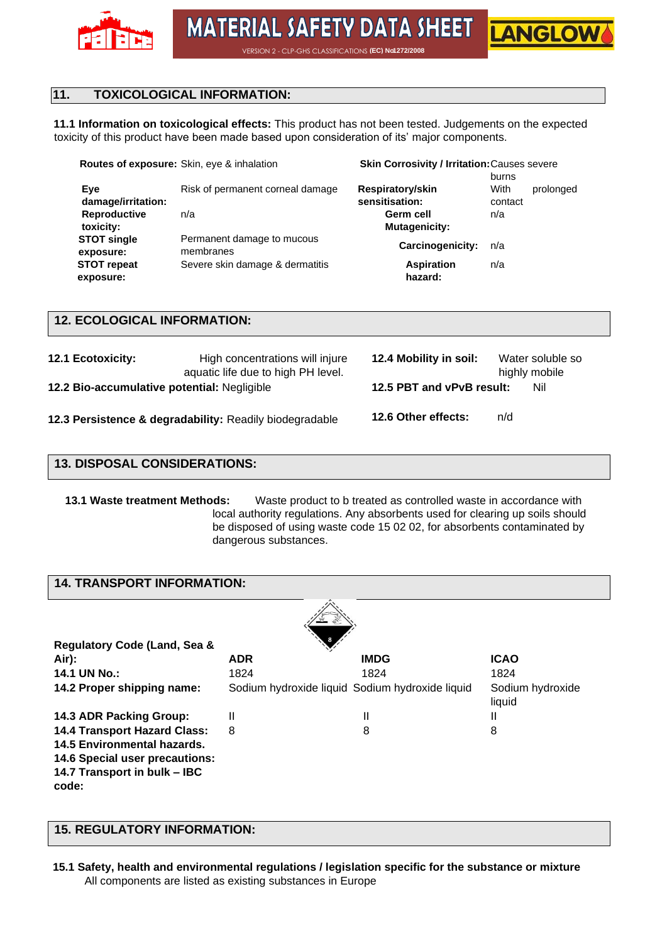

**LANGLOV** 

VERSION 2 - CLP-GHS CLASSIFICATIONS **(EC) No. 272/2008** 

#### **11. TOXICOLOGICAL INFORMATION:**

**11.1 Information on toxicological effects:** This product has not been tested. Judgements on the expected toxicity of this product have been made based upon consideration of its' major components.

| <b>Routes of exposure:</b> Skin, eye & inhalation |                                         | <b>Skin Corrosivity / Irritation: Causes severe</b> |         |           |  |
|---------------------------------------------------|-----------------------------------------|-----------------------------------------------------|---------|-----------|--|
|                                                   |                                         |                                                     | burns   |           |  |
| Eye                                               | Risk of permanent corneal damage        | Respiratory/skin                                    | With    | prolonged |  |
| damage/irritation:                                |                                         | sensitisation:                                      | contact |           |  |
| Reproductive                                      | n/a                                     | Germ cell                                           | n/a     |           |  |
| toxicity:                                         |                                         | <b>Mutagenicity:</b>                                |         |           |  |
| <b>STOT single</b><br>exposure:                   | Permanent damage to mucous<br>membranes | Carcinogenicity:                                    | n/a     |           |  |
| <b>STOT repeat</b><br>exposure:                   | Severe skin damage & dermatitis         | <b>Aspiration</b><br>hazard:                        | n/a     |           |  |

#### **12. ECOLOGICAL INFORMATION:**

| <b>12.1 Ecotoxicity:</b>                    | High concentrations will injure<br>aquatic life due to high PH level. | 12.4 Mobility in soil:    | Water soluble so<br>highly mobile |
|---------------------------------------------|-----------------------------------------------------------------------|---------------------------|-----------------------------------|
| 12.2 Bio-accumulative potential: Negligible |                                                                       | 12.5 PBT and vPvB result: | Nil                               |
|                                             | 12.3 Persistence & degradability: Readily biodegradable               | 12.6 Other effects:       | n/d                               |

#### **13. DISPOSAL CONSIDERATIONS:**

**13.1 Waste treatment Methods:** Waste product to b treated as controlled waste in accordance with local authority regulations. Any absorbents used for clearing up soils should be disposed of using waste code 15 02 02, for absorbents contaminated by dangerous substances.

#### **14. TRANSPORT INFORMATION:**

| Regulatory Code (Land, Sea &                                                                                                                  |            |                                                 |                            |
|-----------------------------------------------------------------------------------------------------------------------------------------------|------------|-------------------------------------------------|----------------------------|
| Air):                                                                                                                                         | <b>ADR</b> | <b>IMDG</b>                                     | <b>ICAO</b>                |
| 14.1 UN No.:                                                                                                                                  | 1824       | 1824                                            | 1824                       |
| 14.2 Proper shipping name:                                                                                                                    |            | Sodium hydroxide liquid Sodium hydroxide liquid | Sodium hydroxide<br>liquid |
| 14.3 ADR Packing Group:                                                                                                                       | Ш          | Ш                                               | Ш                          |
| <b>14.4 Transport Hazard Class:</b><br>14.5 Environmental hazards.<br>14.6 Special user precautions:<br>14.7 Transport in bulk - IBC<br>code: | 8          | 8                                               | 8                          |

#### **15. REGULATORY INFORMATION:**

**15.1 Safety, health and environmental regulations / legislation specific for the substance or mixture**  All components are listed as existing substances in Europe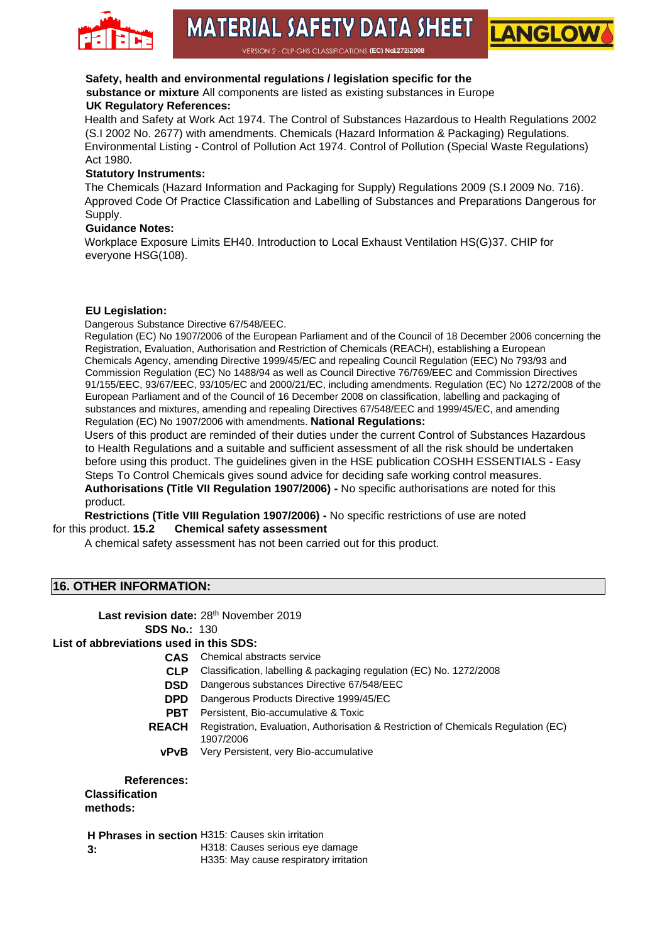

## **MATERIAL SAFETY DATA SHEET**

**LANGLOV** 

VERSION 2 - CLP-GHS CLASSIFICATIONS **(EC) No1272/2008** 

#### **Safety, health and environmental regulations / legislation specific for the**

**substance or mixture** All components are listed as existing substances in Europe **UK Regulatory References:** 

Health and Safety at Work Act 1974. The Control of Substances Hazardous to Health Regulations 2002 (S.I 2002 No. 2677) with amendments. Chemicals (Hazard Information & Packaging) Regulations. Environmental Listing - Control of Pollution Act 1974. Control of Pollution (Special Waste Regulations) Act 1980.

#### **Statutory Instruments:**

The Chemicals (Hazard Information and Packaging for Supply) Regulations 2009 (S.I 2009 No. 716). Approved Code Of Practice Classification and Labelling of Substances and Preparations Dangerous for Supply.

#### **Guidance Notes:**

Workplace Exposure Limits EH40. Introduction to Local Exhaust Ventilation HS(G)37. CHIP for everyone HSG(108).

#### **EU Legislation:**

Dangerous Substance Directive 67/548/EEC.

Regulation (EC) No 1907/2006 of the European Parliament and of the Council of 18 December 2006 concerning the Registration, Evaluation, Authorisation and Restriction of Chemicals (REACH), establishing a European Chemicals Agency, amending Directive 1999/45/EC and repealing Council Regulation (EEC) No 793/93 and Commission Regulation (EC) No 1488/94 as well as Council Directive 76/769/EEC and Commission Directives 91/155/EEC, 93/67/EEC, 93/105/EC and 2000/21/EC, including amendments. Regulation (EC) No 1272/2008 of the European Parliament and of the Council of 16 December 2008 on classification, labelling and packaging of substances and mixtures, amending and repealing Directives 67/548/EEC and 1999/45/EC, and amending Regulation (EC) No 1907/2006 with amendments. **National Regulations:** 

Users of this product are reminded of their duties under the current Control of Substances Hazardous to Health Regulations and a suitable and sufficient assessment of all the risk should be undertaken before using this product. The guidelines given in the HSE publication COSHH ESSENTIALS - Easy Steps To Control Chemicals gives sound advice for deciding safe working control measures. **Authorisations (Title VII Regulation 1907/2006) -** No specific authorisations are noted for this product.

**Restrictions (Title VIII Regulation 1907/2006) -** No specific restrictions of use are noted for this product. **15.2 Chemical safety assessment** 

A chemical safety assessment has not been carried out for this product.

#### **16. OTHER INFORMATION:**

Last revision date: 28<sup>th</sup> November 2019 **SDS No.:** 130

#### **List of abbreviations used in this SDS:**

- **CAS** Chemical abstracts service
- **CLP** Classification, labelling & packaging regulation (EC) No. 1272/2008
- **DSD** Dangerous substances Directive 67/548/EEC
- **DPD** Dangerous Products Directive 1999/45/EC
- **PBT** Persistent, Bio-accumulative & Toxic
- **REACH** Registration, Evaluation, Authorisation & Restriction of Chemicals Regulation (EC) 1907/2006
	- **vPvB** Very Persistent, very Bio-accumulative

#### **References:**

**Classification methods:** 

**H Phrases in section H315: Causes skin irritation** 

**3:** 

H318: Causes serious eye damage

H335: May cause respiratory irritation